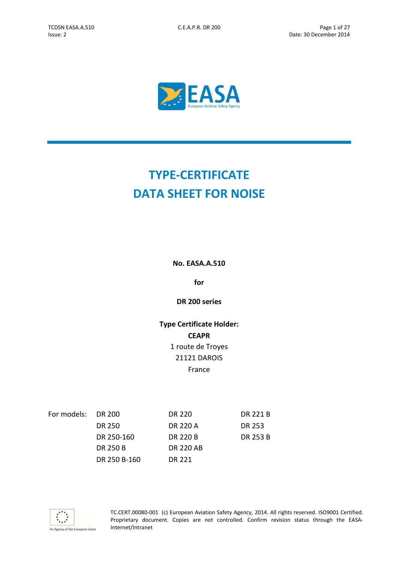

# **TYPE-CERTIFICATE DATA SHEET FOR NOISE**

**No. EASA.A.510** 

**for** 

**DR 200 series** 

**Type Certificate Holder: CEAPR**  1 route de Troyes 21121 DAROIS France

| For models: DR 200 |              | <b>DR 220</b>    | DR 221 B |
|--------------------|--------------|------------------|----------|
|                    | DR 250       | DR 220 A         | DR 253   |
|                    | DR 250-160   | DR 220 B         | DR 253 B |
|                    | DR 250 B     | <b>DR 220 AB</b> |          |
|                    | DR 250 B-160 | DR 221           |          |
|                    |              |                  |          |

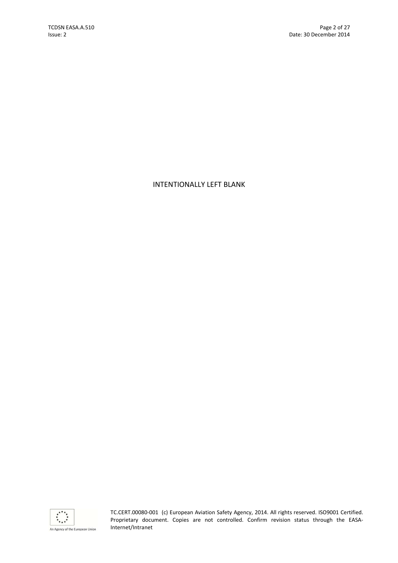INTENTIONALLY LEFT BLANK

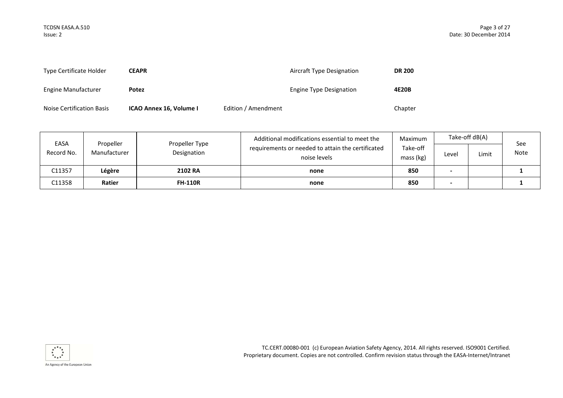| Type Certificate Holder   | <b>CEAPR</b>            |                     | Aircraft Type Designation | <b>DR 200</b> |
|---------------------------|-------------------------|---------------------|---------------------------|---------------|
| Engine Manufacturer       | <b>Potez</b>            |                     | Engine Type Designation   | <b>4E20B</b>  |
| Noise Certification Basis | ICAO Annex 16, Volume I | Edition / Amendment |                           | Chapter       |

| EASA<br>Propeller |              | Propeller Type | Additional modifications essential to meet the                    | Maximum               |       | Take-off dB(A) | See  |
|-------------------|--------------|----------------|-------------------------------------------------------------------|-----------------------|-------|----------------|------|
| Record No.        | Manufacturer | Designation    | requirements or needed to attain the certificated<br>noise levels | Take-off<br>mass (kg) | Level | Limit          | Note |
|                   |              |                |                                                                   |                       |       |                |      |
| C11357            | Légère       | 2102 RA        | none                                                              | 850                   |       |                |      |
| C11358            | Ratier       | <b>FH-110R</b> | none                                                              | 850                   | -     |                |      |

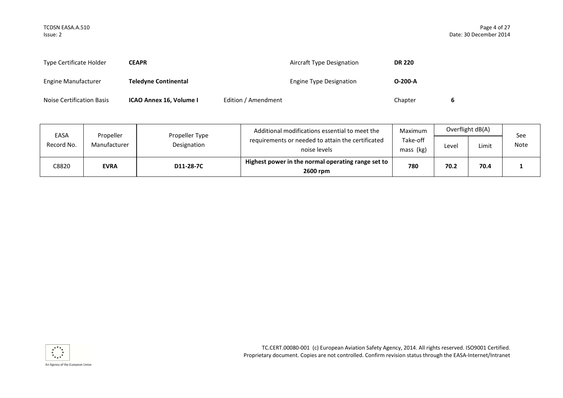| Type Certificate Holder   | <b>CEAPR</b>                |                     | Aircraft Type Designation      | <b>DR 220</b> |   |
|---------------------------|-----------------------------|---------------------|--------------------------------|---------------|---|
| Engine Manufacturer       | <b>Teledyne Continental</b> |                     | <b>Engine Type Designation</b> | O-200-A       |   |
| Noise Certification Basis | ICAO Annex 16, Volume I     | Edition / Amendment |                                | Chapter       | 6 |

| EASA<br>Propeller Type<br>Propeller |              |             | Additional modifications essential to meet the                    | Maximum               |       | Overflight dB(A) | See  |
|-------------------------------------|--------------|-------------|-------------------------------------------------------------------|-----------------------|-------|------------------|------|
| Record No.                          | Manufacturer | Designation | requirements or needed to attain the certificated<br>noise levels | Take-off<br>mass (kg) | Level | Limit            | Note |
| C8820                               | <b>EVRA</b>  | D11-28-7C   | Highest power in the normal operating range set to<br>2600 rpm    | 780                   | 70.2  | 70.4             |      |

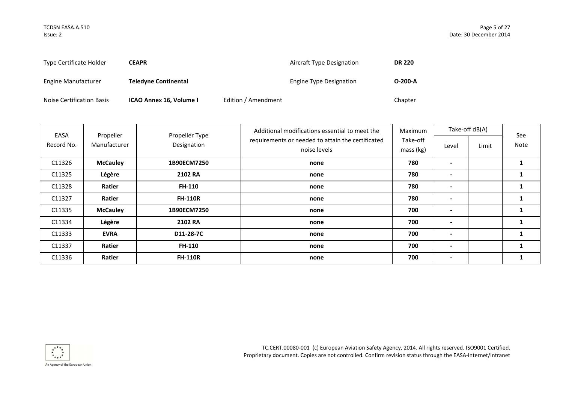| Type Certificate Holder   | <b>CEAPR</b>                   |                     | Aircraft Type Designation      | <b>DR 220</b> |
|---------------------------|--------------------------------|---------------------|--------------------------------|---------------|
| Engine Manufacturer       | <b>Teledyne Continental</b>    |                     | <b>Engine Type Designation</b> | O-200-A       |
| Noise Certification Basis | <b>ICAO Annex 16, Volume I</b> | Edition / Amendment |                                | Chapter       |

| EASA       | Propeller       | Propeller Type | Additional modifications essential to meet the                    | Maximum               | Take-off dB(A)           |       | See  |
|------------|-----------------|----------------|-------------------------------------------------------------------|-----------------------|--------------------------|-------|------|
| Record No. | Manufacturer    | Designation    | requirements or needed to attain the certificated<br>noise levels | Take-off<br>mass (kg) | Level                    | Limit | Note |
| C11326     | <b>McCauley</b> | 1B90ECM7250    | none                                                              | 780                   | $\overline{\phantom{a}}$ |       |      |
| C11325     | Légère          | 2102 RA        | none                                                              | 780                   | $\overline{\phantom{0}}$ |       | 1    |
| C11328     | Ratier          | <b>FH-110</b>  | none                                                              | 780                   | $\overline{\phantom{a}}$ |       | 1    |
| C11327     | Ratier          | <b>FH-110R</b> | none                                                              | 780                   | $\overline{\phantom{0}}$ |       | 1    |
| C11335     | <b>McCauley</b> | 1B90ECM7250    | none                                                              | 700                   | $\overline{\phantom{a}}$ |       |      |
| C11334     | Légère          | 2102 RA        | none                                                              | 700                   | $\overline{\phantom{a}}$ |       | 1    |
| C11333     | <b>EVRA</b>     | D11-28-7C      | none                                                              | 700                   | $\overline{\phantom{0}}$ |       | 1    |
| C11337     | Ratier          | <b>FH-110</b>  | none                                                              | 700                   | $\overline{\phantom{0}}$ |       | 1    |
| C11336     | Ratier          | <b>FH-110R</b> | none                                                              | 700                   | $\overline{\phantom{a}}$ |       |      |

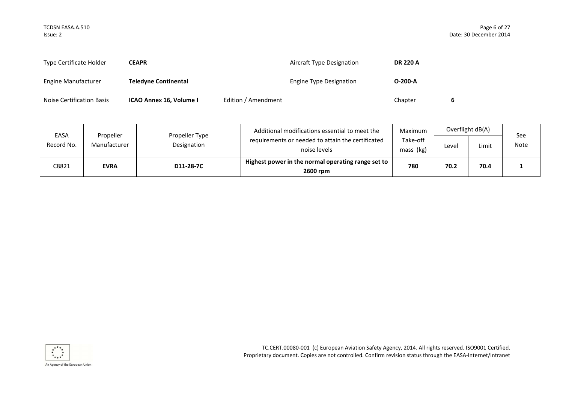| Type Certificate Holder    | CEAPR                       |                     | Aircraft Type Designation      | <b>DR 220 A</b> |   |
|----------------------------|-----------------------------|---------------------|--------------------------------|-----------------|---|
| <b>Engine Manufacturer</b> | <b>Teledyne Continental</b> |                     | <b>Engine Type Designation</b> | O-200-A         |   |
| Noise Certification Basis  | ICAO Annex 16, Volume I     | Edition / Amendment |                                | Chapter         | 6 |

| EASA<br>Propeller<br>Propeller Type |              |             | Additional modifications essential to meet the                    | Maximum               |       | Overflight dB(A) | See  |
|-------------------------------------|--------------|-------------|-------------------------------------------------------------------|-----------------------|-------|------------------|------|
| Record No.                          | Manufacturer | Designation | requirements or needed to attain the certificated<br>noise levels | Take-off<br>mass (kg) | Level | Limit            | Note |
| C8821                               | <b>EVRA</b>  | D11-28-7C   | Highest power in the normal operating range set to<br>2600 rpm    | 780                   | 70.2  | 70.4             |      |

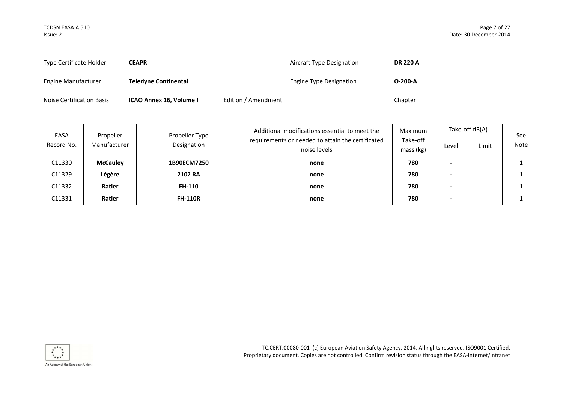| Type Certificate Holder    | <b>CEAPR</b>                |                     | Aircraft Type Designation      | <b>DR 220 A</b> |
|----------------------------|-----------------------------|---------------------|--------------------------------|-----------------|
| <b>Engine Manufacturer</b> | <b>Teledyne Continental</b> |                     | <b>Engine Type Designation</b> | $O-200-A$       |
| Noise Certification Basis  | ICAO Annex 16, Volume I     | Edition / Amendment |                                | Chapter         |

| EASA       | Propeller       | Propeller Type | Additional modifications essential to meet the                    | Maximum               | Take-off dB(A)           |       | See         |
|------------|-----------------|----------------|-------------------------------------------------------------------|-----------------------|--------------------------|-------|-------------|
| Record No. | Manufacturer    | Designation    | requirements or needed to attain the certificated<br>noise levels | Take-off<br>mass (kg) | Level                    | Limit | <b>Note</b> |
| C11330     | <b>McCauley</b> | 1B90ECM7250    | none                                                              | 780                   |                          |       |             |
| C11329     | Légère          | 2102 RA        | none                                                              | 780                   |                          |       |             |
| C11332     | Ratier          | <b>FH-110</b>  | none                                                              | 780                   | $\overline{\phantom{0}}$ |       |             |
| C11331     | Ratier          | <b>FH-110R</b> | none                                                              | 780                   |                          |       |             |

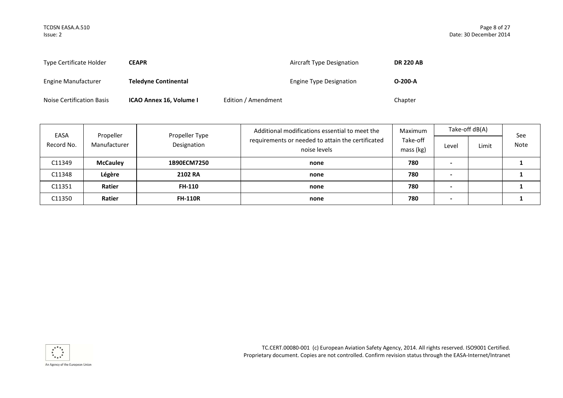| Type Certificate Holder    | CEAPR                       |                     | Aircraft Type Designation      | <b>DR 220 AB</b> |
|----------------------------|-----------------------------|---------------------|--------------------------------|------------------|
| <b>Engine Manufacturer</b> | <b>Teledyne Continental</b> |                     | <b>Engine Type Designation</b> | $O-200-A$        |
| Noise Certification Basis  | ICAO Annex 16, Volume I     | Edition / Amendment |                                | Chapter          |

| EASA       | Propeller       | Propeller Type | Additional modifications essential to meet the                    | Maximum               | Take-off dB(A)           |       | See         |
|------------|-----------------|----------------|-------------------------------------------------------------------|-----------------------|--------------------------|-------|-------------|
| Record No. | Manufacturer    | Designation    | requirements or needed to attain the certificated<br>noise levels | Take-off<br>mass (kg) | Level                    | Limit | <b>Note</b> |
| C11349     | <b>McCauley</b> | 1B90ECM7250    | none                                                              | 780                   |                          |       |             |
| C11348     | Légère          | 2102 RA        | none                                                              | 780                   |                          |       |             |
| C11351     | Ratier          | <b>FH-110</b>  | none                                                              | 780                   | $\overline{\phantom{0}}$ |       |             |
| C11350     | Ratier          | <b>FH-110R</b> | none                                                              | 780                   |                          |       |             |

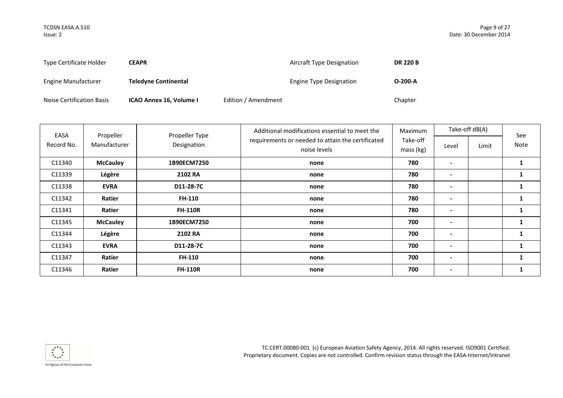| Type Certificate Holder    | CEAPR                       |                     | Aircraft Type Designation      | <b>DR 220 B</b> |
|----------------------------|-----------------------------|---------------------|--------------------------------|-----------------|
| <b>Engine Manufacturer</b> | <b>Teledyne Continental</b> |                     | <b>Engine Type Designation</b> | $O-200-A$       |
| Noise Certification Basis  | ICAO Annex 16, Volume I     | Edition / Amendment |                                | Chapter         |

| EASA       | Propeller<br>Propeller Type | Additional modifications essential to meet the | Maximum                                                           | Take-off dB(A)        |                          | See   |      |
|------------|-----------------------------|------------------------------------------------|-------------------------------------------------------------------|-----------------------|--------------------------|-------|------|
| Record No. | Manufacturer                | Designation                                    | requirements or needed to attain the certificated<br>noise levels | Take-off<br>mass (kg) | Level                    | Limit | Note |
| C11340     | <b>McCauley</b>             | 1B90ECM7250                                    | none                                                              | 780                   |                          |       | 1    |
| C11339     | Légère                      | 2102 RA                                        | none                                                              | 780                   | $\blacksquare$           |       | 1    |
| C11338     | <b>EVRA</b>                 | D11-28-7C                                      | none                                                              | 780                   | $\blacksquare$           |       | 1    |
| C11342     | Ratier                      | <b>FH-110</b>                                  | none                                                              | 780                   | $\overline{\phantom{a}}$ |       | 1    |
| C11341     | Ratier                      | <b>FH-110R</b>                                 | none                                                              | 780                   | $\overline{\phantom{a}}$ |       | 1    |
| C11345     | <b>McCauley</b>             | 1B90ECM7250                                    | none                                                              | 700                   | $\overline{\phantom{a}}$ |       |      |
| C11344     | Légère                      | 2102 RA                                        | none                                                              | 700                   | $\overline{\phantom{a}}$ |       | 1    |
| C11343     | <b>EVRA</b>                 | D11-28-7C                                      | none                                                              | 700                   | $\overline{\phantom{a}}$ |       | 1    |
| C11347     | Ratier                      | <b>FH-110</b>                                  | none                                                              | 700                   | $\overline{\phantom{a}}$ |       |      |
| C11346     | Ratier                      | <b>FH-110R</b>                                 | none                                                              | 700                   | $\overline{\phantom{a}}$ |       | 1    |

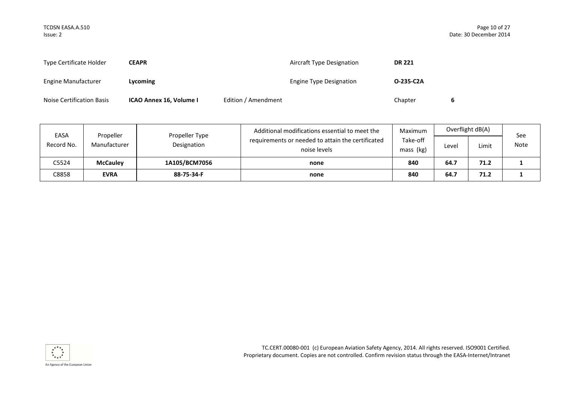| Type Certificate Holder    | <b>CEAPR</b>            |                     | Aircraft Type Designation | <b>DR 221</b> |   |
|----------------------------|-------------------------|---------------------|---------------------------|---------------|---|
| <b>Engine Manufacturer</b> | Lycoming                |                     | Engine Type Designation   | O-235-C2A     |   |
| Noise Certification Basis  | ICAO Annex 16, Volume I | Edition / Amendment |                           | Chapter       | 6 |

| EASA       | Propeller       | Propeller Type | Additional modifications essential to meet the                    | Maximum               |       | Overflight dB(A) | See  |
|------------|-----------------|----------------|-------------------------------------------------------------------|-----------------------|-------|------------------|------|
| Record No. | Manufacturer    | Designation    | requirements or needed to attain the certificated<br>noise levels | Take-off<br>mass (kg) | Level | Limit            | Note |
| C5524      | <b>McCauley</b> | 1A105/BCM7056  | none                                                              | 840                   | 64.7  | 71.2             |      |
| C8858      | <b>EVRA</b>     | 88-75-34-F     | none                                                              | 840                   | 64.7  | 71.2             |      |

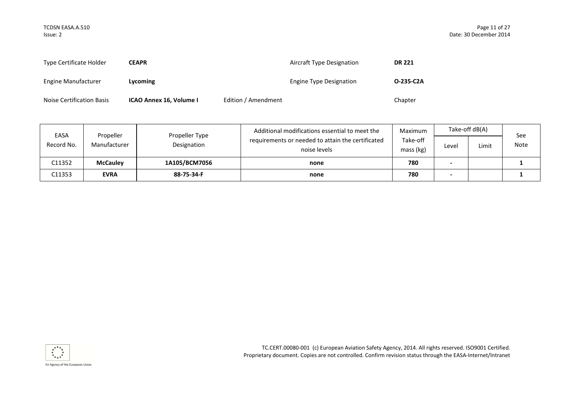| Type Certificate Holder   | <b>CEAPR</b>            |                     | Aircraft Type Designation | <b>DR 221</b> |
|---------------------------|-------------------------|---------------------|---------------------------|---------------|
| Engine Manufacturer       | Lycoming                |                     | Engine Type Designation   | O-235-C2A     |
| Noise Certification Basis | ICAO Annex 16, Volume I | Edition / Amendment |                           | Chapter       |

| EASA       | Propeller<br>Propeller Type |               | Additional modifications essential to meet the                    | Maximum               | Take-off dB(A) |       | See  |
|------------|-----------------------------|---------------|-------------------------------------------------------------------|-----------------------|----------------|-------|------|
| Record No. | Manufacturer                | Designation   | requirements or needed to attain the certificated<br>noise levels | Take-off<br>mass (kg) | Level          | Limit | Note |
|            |                             |               |                                                                   |                       |                |       |      |
| C11352     | <b>McCauley</b>             | 1A105/BCM7056 | none                                                              | 780                   |                |       |      |
| C11353     | <b>EVRA</b>                 | 88-75-34-F    | none                                                              | 780                   |                |       |      |

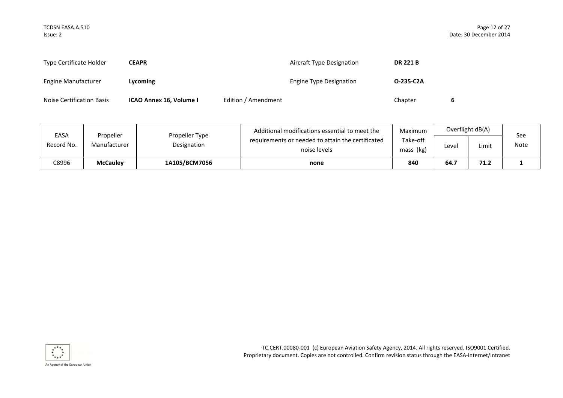| Type Certificate Holder    | <b>CEAPR</b>            |                     | Aircraft Type Designation | <b>DR 221 B</b> |   |
|----------------------------|-------------------------|---------------------|---------------------------|-----------------|---|
| <b>Engine Manufacturer</b> | Lycoming                |                     | Engine Type Designation   | O-235-C2A       |   |
| Noise Certification Basis  | ICAO Annex 16, Volume I | Edition / Amendment |                           | Chapter         | 6 |

| EASA       | Propeller       | Propeller Type | Additional modifications essential to meet the                    | Maximum                        |      | Overflight dB(A) |             |
|------------|-----------------|----------------|-------------------------------------------------------------------|--------------------------------|------|------------------|-------------|
| Record No. | Manufacturer    | Designation    | requirements or needed to attain the certificated<br>noise levels | Take-off<br>Level<br>mass (kg) |      | Limit            | See<br>Note |
| C8996      | <b>McCauley</b> | 1A105/BCM7056  | none                                                              | 840                            | 64.7 | 71.2             |             |

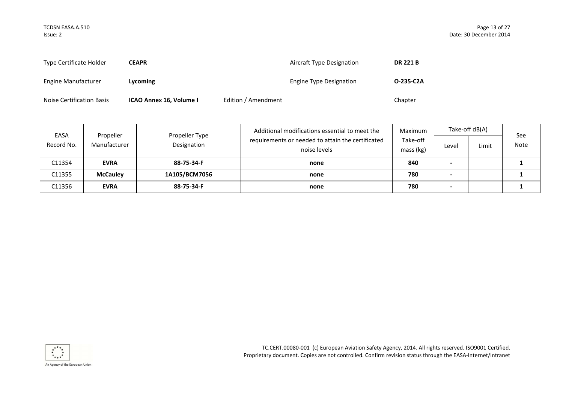| <b>Type Certificate Holder</b> | <b>CEAPR</b>            |                     | Aircraft Type Designation | <b>DR 221 B</b> |
|--------------------------------|-------------------------|---------------------|---------------------------|-----------------|
| Engine Manufacturer            | Lycoming                |                     | Engine Type Designation   | O-235-C2A       |
| Noise Certification Basis      | ICAO Annex 16, Volume I | Edition / Amendment |                           | Chapter         |

| EASA       |                 | Propeller<br>Propeller Type | Additional modifications essential to meet the                    | Maximum               | Take-off dB(A) |       | See         |
|------------|-----------------|-----------------------------|-------------------------------------------------------------------|-----------------------|----------------|-------|-------------|
| Record No. | Manufacturer    | Designation                 | requirements or needed to attain the certificated<br>noise levels | Take-off<br>mass (kg) | Level          | Limit | <b>Note</b> |
| C11354     | <b>EVRA</b>     | 88-75-34-F                  | none                                                              | 840                   |                |       |             |
| C11355     | <b>McCauley</b> | 1A105/BCM7056               | none                                                              | 780                   |                |       |             |
| C11356     | <b>EVRA</b>     | 88-75-34-F                  | none                                                              | 780                   |                |       |             |

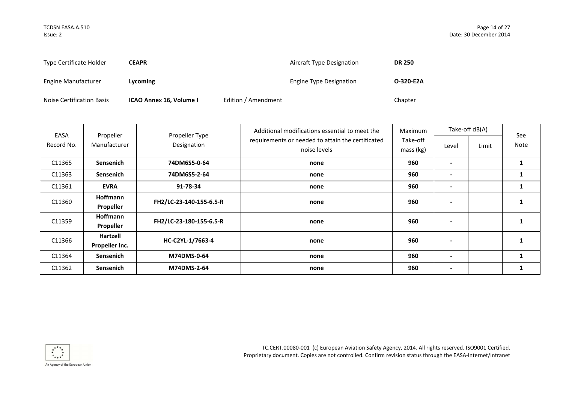| Type Certificate Holder   | <b>CEAPR</b>            |                     | Aircraft Type Designation | <b>DR 250</b> |
|---------------------------|-------------------------|---------------------|---------------------------|---------------|
| Engine Manufacturer       | Lycoming                |                     | Engine Type Designation   | O-320-E2A     |
| Noise Certification Basis | ICAO Annex 16, Volume I | Edition / Amendment |                           | Chapter       |

| EASA       | Propeller                    | Propeller Type          | Additional modifications essential to meet the                    | Maximum | Take-off dB(A)           |       | See<br>Note |
|------------|------------------------------|-------------------------|-------------------------------------------------------------------|---------|--------------------------|-------|-------------|
| Record No. | Manufacturer                 | Designation             | requirements or needed to attain the certificated<br>noise levels |         | Level                    | Limit |             |
| C11365     | <b>Sensenich</b>             | 74DM6S5-0-64            | none                                                              | 960     | $\overline{\phantom{0}}$ |       | 1           |
| C11363     | Sensenich                    | 74DM6S5-2-64            | none                                                              | 960     | $\overline{\phantom{a}}$ |       |             |
| C11361     | <b>EVRA</b>                  | 91-78-34                | none                                                              | 960     | $\overline{\phantom{0}}$ |       | 1           |
| C11360     | Hoffmann<br>Propeller        | FH2/LC-23-140-155-6.5-R | none                                                              | 960     | $\overline{\phantom{0}}$ |       |             |
| C11359     | <b>Hoffmann</b><br>Propeller | FH2/LC-23-180-155-6.5-R | none                                                              | 960     | $\overline{\phantom{0}}$ |       |             |
| C11366     | Hartzell<br>Propeller Inc.   | HC-C2YL-1/7663-4        | none                                                              | 960     | $\overline{\phantom{0}}$ |       |             |
| C11364     | <b>Sensenich</b>             | <b>M74DMS-0-64</b>      | none                                                              | 960     | $\overline{\phantom{a}}$ |       |             |
| C11362     | <b>Sensenich</b>             | M74DMS-2-64             | none                                                              | 960     | $\overline{\phantom{0}}$ |       | 1           |

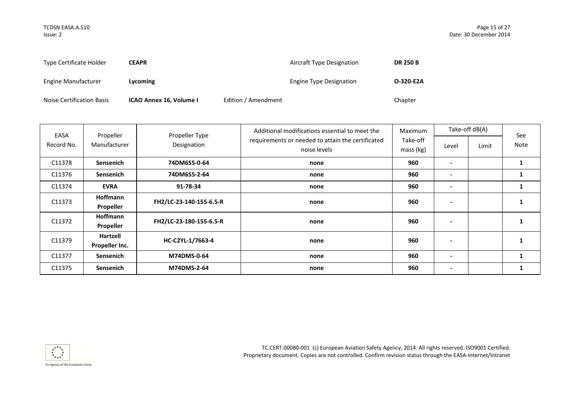| Type Certificate Holder   | CEAPR                   |                     | Aircraft Type Designation      | <b>DR 250 B</b> |
|---------------------------|-------------------------|---------------------|--------------------------------|-----------------|
| Engine Manufacturer       | Lycoming                |                     | <b>Engine Type Designation</b> | O-320-E2A       |
| Noise Certification Basis | ICAO Annex 16, Volume I | Edition / Amendment |                                | Chapter         |

| EASA       | Propeller        | Propeller Type          | Additional modifications essential to meet the<br>Maximum         |                       | Take-off dB(A)           |       | See  |
|------------|------------------|-------------------------|-------------------------------------------------------------------|-----------------------|--------------------------|-------|------|
| Record No. | Manufacturer     | Designation             | requirements or needed to attain the certificated<br>noise levels | Take-off<br>mass (kg) | Level                    | Limit | Note |
| C11378     | <b>Sensenich</b> | 74DM6S5-0-64            | none                                                              | 960                   | ۰                        |       | 1    |
| C11376     | <b>Sensenich</b> | 74DM6S5-2-64            | none                                                              | 960                   | $\overline{\phantom{a}}$ |       |      |
| C11374     | <b>EVRA</b>      | 91-78-34                | none                                                              | 960                   | ٠                        |       |      |
| C11373     | <b>Hoffmann</b>  | FH2/LC-23-140-155-6.5-R | none                                                              | 960                   | ۰                        |       |      |
|            | Propeller        |                         |                                                                   |                       |                          |       |      |
| C11372     | <b>Hoffmann</b>  | FH2/LC-23-180-155-6.5-R | none                                                              | 960                   | ٠                        |       |      |
|            | Propeller        |                         |                                                                   |                       |                          |       |      |
| C11379     | Hartzell         | HC-C2YL-1/7663-4        | none                                                              | 960                   |                          |       |      |
|            | Propeller Inc.   |                         |                                                                   |                       |                          |       |      |
| C11377     | <b>Sensenich</b> | <b>M74DMS-0-64</b>      | none                                                              | 960                   | $\blacksquare$           |       |      |
| C11375     | Sensenich        | M74DMS-2-64             | none                                                              | 960                   | $\blacksquare$           |       |      |

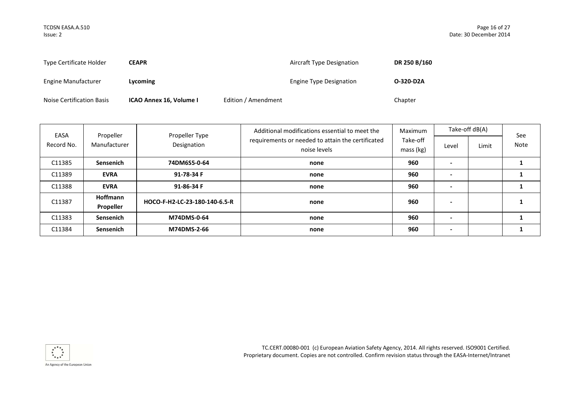| Type Certificate Holder    | <b>CEAPR</b>            |                     | Aircraft Type Designation | DR 250 B/160 |
|----------------------------|-------------------------|---------------------|---------------------------|--------------|
| <b>Engine Manufacturer</b> | Lycoming                |                     | Engine Type Designation   | O-320-D2A    |
| Noise Certification Basis  | ICAO Annex 16, Volume I | Edition / Amendment |                           | Chapter      |

| EASA<br>Propeller |                       | Propeller Type                | Additional modifications essential to meet the                    | Maximum               | Take-off dB(A)           |       | See         |
|-------------------|-----------------------|-------------------------------|-------------------------------------------------------------------|-----------------------|--------------------------|-------|-------------|
| Record No.        | Manufacturer          | Designation                   | requirements or needed to attain the certificated<br>noise levels | Take-off<br>mass (kg) | Level                    | Limit | <b>Note</b> |
| C11385            | Sensenich             | 74DM6S5-0-64                  | none                                                              | 960                   | $\overline{\phantom{0}}$ |       |             |
| C11389            | <b>EVRA</b>           | 91-78-34 F                    | none                                                              | 960                   | $\overline{\phantom{0}}$ |       |             |
| C11388            | <b>EVRA</b>           | 91-86-34 F                    | none                                                              | 960                   |                          |       |             |
| C11387            | Hoffmann<br>Propeller | HOCO-F-H2-LC-23-180-140-6.5-R | none                                                              | 960                   | -                        |       |             |
| C11383            | Sensenich             | M74DMS-0-64                   | none                                                              | 960                   |                          |       |             |
| C11384            | Sensenich             | M74DMS-2-66                   | none                                                              | 960                   | -                        |       |             |

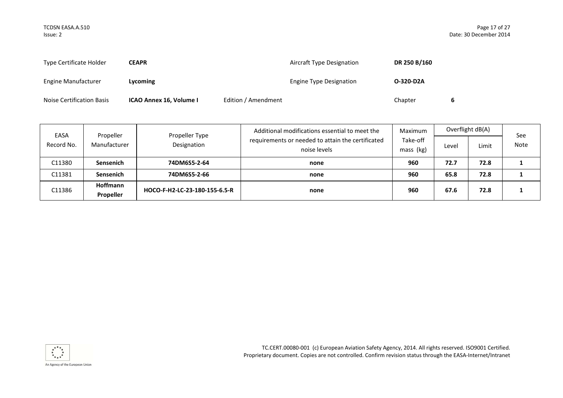| Type Certificate Holder    | <b>CEAPR</b>            |                     | Aircraft Type Designation      | DR 250 B/160 |  |
|----------------------------|-------------------------|---------------------|--------------------------------|--------------|--|
| <b>Engine Manufacturer</b> | Lycoming                |                     | <b>Engine Type Designation</b> | O-320-D2A    |  |
| Noise Certification Basis  | ICAO Annex 16, Volume I | Edition / Amendment |                                | Chapter      |  |

| EASA       | Propeller        | Propeller Type                | Additional modifications essential to meet the                    | Maximum | Overflight dB(A) |       | See<br>Note |
|------------|------------------|-------------------------------|-------------------------------------------------------------------|---------|------------------|-------|-------------|
| Record No. | Manufacturer     | Designation                   | requirements or needed to attain the certificated<br>noise levels |         | Level            | Limit |             |
| C11380     | <b>Sensenich</b> | 74DM6S5-2-64                  | none                                                              | 960     | 72.7             | 72.8  |             |
| C11381     | Sensenich        | 74DM6S5-2-66                  | none                                                              | 960     | 65.8             | 72.8  |             |
| C11386     | Hoffmann         | HOCO-F-H2-LC-23-180-155-6.5-R | none                                                              | 960     | 67.6             | 72.8  |             |
|            | Propeller        |                               |                                                                   |         |                  |       |             |

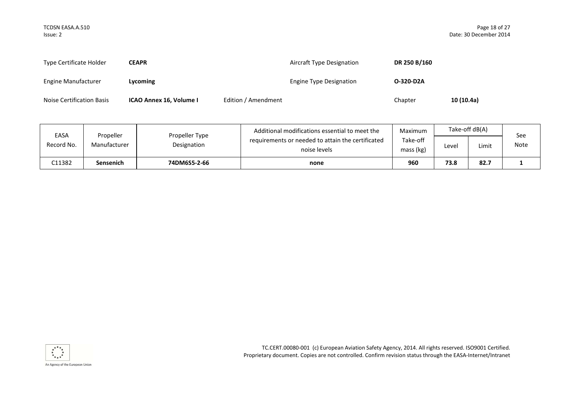| Type Certificate Holder    | CEAPR                   |                     | Aircraft Type Designation      | DR 250 B/160 |           |
|----------------------------|-------------------------|---------------------|--------------------------------|--------------|-----------|
| <b>Engine Manufacturer</b> | Lycoming                |                     | <b>Engine Type Designation</b> | O-320-D2A    |           |
| Noise Certification Basis  | ICAO Annex 16, Volume I | Edition / Amendment |                                | Chapter      | 10(10.4a) |

| EASA       | Propeller    |                               | Additional modifications essential to meet the                    | Maximum               | Take-off dB(A) |       |             |
|------------|--------------|-------------------------------|-------------------------------------------------------------------|-----------------------|----------------|-------|-------------|
| Record No. | Manufacturer | Propeller Type<br>Designation | requirements or needed to attain the certificated<br>noise levels | Take-off<br>mass (kg) | Level          | Limit | See<br>Note |
| C11382     | Sensenich    | 74DM6S5-2-66                  | none                                                              | 960                   | 73.8           | 82.7  |             |

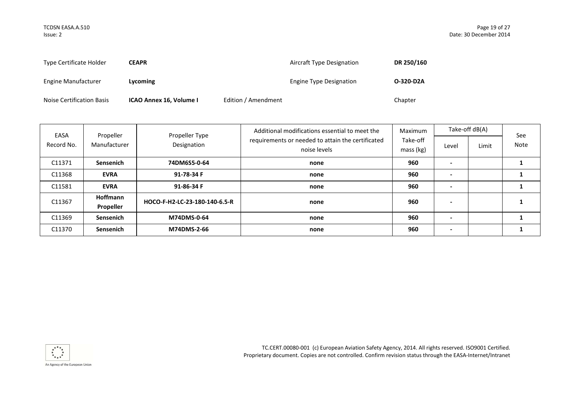| Type Certificate Holder   | <b>CEAPR</b>            |                     | Aircraft Type Designation | DR 250/160 |
|---------------------------|-------------------------|---------------------|---------------------------|------------|
| Engine Manufacturer       | Lycoming                |                     | Engine Type Designation   | O-320-D2A  |
| Noise Certification Basis | ICAO Annex 16, Volume I | Edition / Amendment |                           | Chapter    |

| EASA<br>Propeller |                       | Propeller Type                | Additional modifications essential to meet the                    | Maximum               | Take-off dB(A)           |       | See         |
|-------------------|-----------------------|-------------------------------|-------------------------------------------------------------------|-----------------------|--------------------------|-------|-------------|
| Record No.        | Manufacturer          | Designation                   | requirements or needed to attain the certificated<br>noise levels | Take-off<br>mass (kg) | Level                    | Limit | <b>Note</b> |
| C11371            | <b>Sensenich</b>      | 74DM6S5-0-64                  | none                                                              | 960                   |                          |       |             |
| C11368            | <b>EVRA</b>           | 91-78-34 F                    | none                                                              | 960                   |                          |       |             |
| C11581            | <b>EVRA</b>           | 91-86-34 F                    | none                                                              | 960                   |                          |       |             |
| C11367            | Hoffmann<br>Propeller | HOCO-F-H2-LC-23-180-140-6.5-R | none                                                              | 960                   | -                        |       |             |
| C11369            | <b>Sensenich</b>      | M74DMS-0-64                   | none                                                              | 960                   | $\overline{\phantom{0}}$ |       |             |
| C11370            | Sensenich             | M74DMS-2-66                   | none                                                              | 960                   | -                        |       |             |

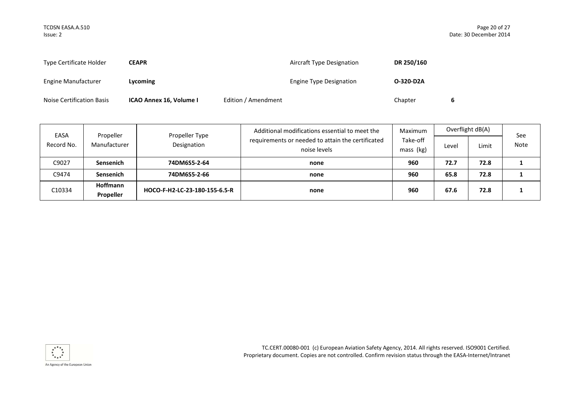| Type Certificate Holder    | <b>CEAPR</b>            |                     | Aircraft Type Designation      | DR 250/160 |  |
|----------------------------|-------------------------|---------------------|--------------------------------|------------|--|
| <b>Engine Manufacturer</b> | Lycoming                |                     | <b>Engine Type Designation</b> | O-320-D2A  |  |
| Noise Certification Basis  | ICAO Annex 16, Volume I | Edition / Amendment |                                | Chapter    |  |

| EASA       | Propeller        |                               | Additional modifications essential to meet the<br>Propeller Type  |                       | Overflight dB(A) |       | See  |
|------------|------------------|-------------------------------|-------------------------------------------------------------------|-----------------------|------------------|-------|------|
| Record No. | Manufacturer     | Designation                   | requirements or needed to attain the certificated<br>noise levels | Take-off<br>mass (kg) | Level            | Limit | Note |
| C9027      | <b>Sensenich</b> | 74DM6S5-2-64                  | none                                                              | 960                   | 72.7             | 72.8  |      |
| C9474      | Sensenich        | 74DM6S5-2-66                  | none                                                              | 960                   | 65.8             | 72.8  |      |
| C10334     | Hoffmann         | HOCO-F-H2-LC-23-180-155-6.5-R | none                                                              | 960                   | 67.6             | 72.8  |      |
|            | Propeller        |                               |                                                                   |                       |                  |       |      |

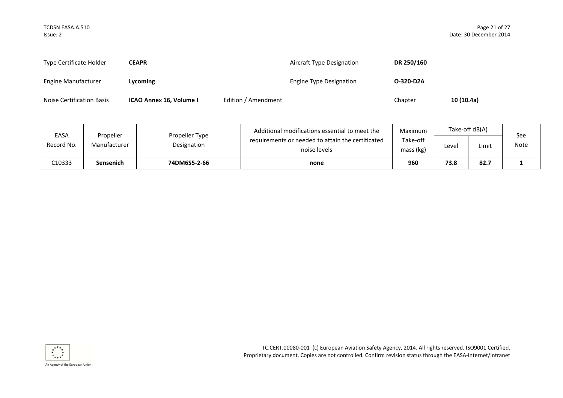| Type Certificate Holder   | <b>CEAPR</b>            |                     | Aircraft Type Designation      | DR 250/160 |           |
|---------------------------|-------------------------|---------------------|--------------------------------|------------|-----------|
| Engine Manufacturer       | Lycoming                |                     | <b>Engine Type Designation</b> | O-320-D2A  |           |
| Noise Certification Basis | ICAO Annex 16, Volume I | Edition / Amendment |                                | Chapter    | 10(10.4a) |

| EASA       | Propeller        | Propeller Type | Additional modifications essential to meet the                    | Maximum               | Take-off dB(A) |       | See  |
|------------|------------------|----------------|-------------------------------------------------------------------|-----------------------|----------------|-------|------|
| Record No. | Manufacturer     | Designation    | requirements or needed to attain the certificated<br>noise levels | Take-off<br>mass (kg) | Level          | Limit | Note |
| C10333     | <b>Sensenich</b> | 74DM6S5-2-66   | none                                                              | 960                   | 73.8           | 82.7  |      |

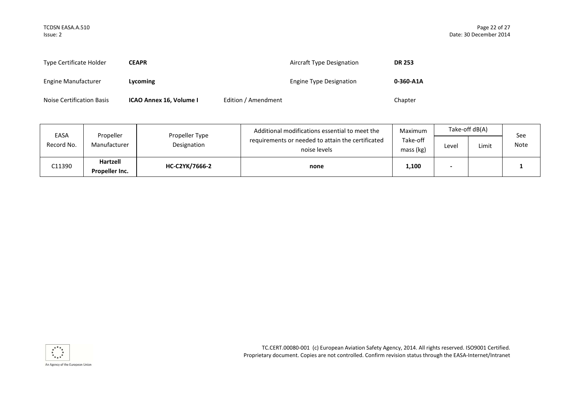| Type Certificate Holder   | CEAPR                   |                     | Aircraft Type Designation      | <b>DR 253</b> |
|---------------------------|-------------------------|---------------------|--------------------------------|---------------|
| Engine Manufacturer       | Lycoming                |                     | <b>Engine Type Designation</b> | 0-360-A1A     |
| Noise Certification Basis | ICAO Annex 16, Volume I | Edition / Amendment |                                | Chapter       |

| EASA       | Propeller<br>Propeller Type       |                | Additional modifications essential to meet the                    | Maximum               |       | Take-off dB(A) | See  |
|------------|-----------------------------------|----------------|-------------------------------------------------------------------|-----------------------|-------|----------------|------|
| Record No. | Manufacturer                      | Designation    | requirements or needed to attain the certificated<br>noise levels | Take-off<br>mass (kg) | Level | Limit          | Note |
| C11390     | Hartzell<br><b>Propeller Inc.</b> | HC-C2YK/7666-2 | none                                                              | 1,100                 |       |                |      |

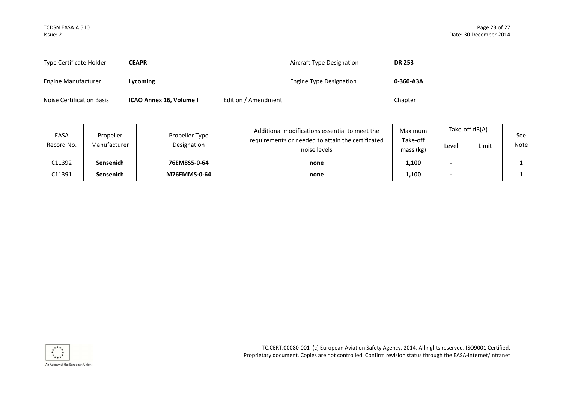| Type Certificate Holder    | <b>CEAPR</b>            |                     | Aircraft Type Designation | <b>DR 253</b> |
|----------------------------|-------------------------|---------------------|---------------------------|---------------|
| <b>Engine Manufacturer</b> | Lycoming                |                     | Engine Type Designation   | 0-360-A3A     |
| Noise Certification Basis  | ICAO Annex 16, Volume I | Edition / Amendment |                           | Chapter       |

| EASA<br>Propeller<br>Propeller Type |              |                     | Additional modifications essential to meet the    | Maximum   |       | Take-off dB(A) | See  |
|-------------------------------------|--------------|---------------------|---------------------------------------------------|-----------|-------|----------------|------|
| Record No.                          | Manufacturer | Designation         | requirements or needed to attain the certificated | Take-off  | Level | Limit          | Note |
|                                     |              |                     | noise levels                                      | mass (kg) |       |                |      |
| C11392                              | Sensenich    | 76EM8S5-0-64        | none                                              | 1,100     |       |                |      |
| C11391                              | Sensenich    | <b>M76EMMS-0-64</b> | none                                              | 1,100     |       |                |      |

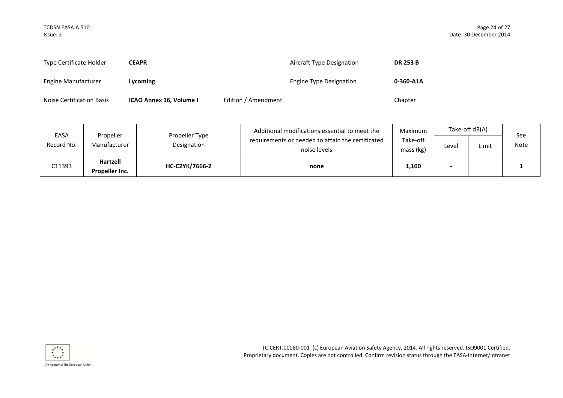| Type Certificate Holder    | <b>CEAPR</b>            |                     | Aircraft Type Designation      | <b>DR 253 B</b> |
|----------------------------|-------------------------|---------------------|--------------------------------|-----------------|
| <b>Engine Manufacturer</b> | Lycoming                |                     | <b>Engine Type Designation</b> | 0-360-A1A       |
| Noise Certification Basis  | ICAO Annex 16, Volume I | Edition / Amendment |                                | Chapter         |

|            | EASA<br>Propeller<br>Propeller Type |                | Additional modifications essential to meet the<br>Maximum         |                       | Take-off dB(A) |       | See  |
|------------|-------------------------------------|----------------|-------------------------------------------------------------------|-----------------------|----------------|-------|------|
| Record No. | Manufacturer                        | Designation    | requirements or needed to attain the certificated<br>noise levels | Take-off<br>mass (kg) | Level          | Limit | Note |
| C11393     | Hartzell<br>Propeller Inc.          | HC-C2YK/7666-2 | none                                                              | 1,100                 |                |       |      |

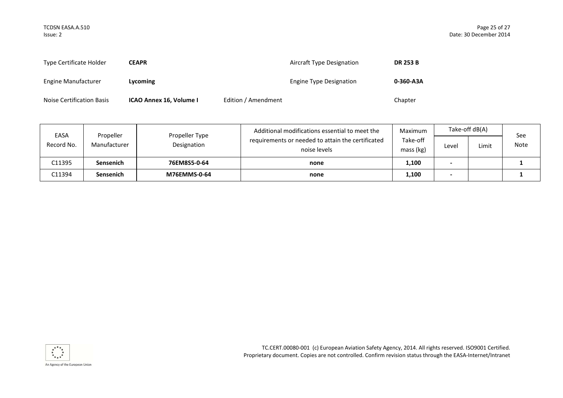| Type Certificate Holder   | CEAPR                   |                     | Aircraft Type Designation      | <b>DR 253 B</b> |
|---------------------------|-------------------------|---------------------|--------------------------------|-----------------|
| Engine Manufacturer       | Lycoming                |                     | <b>Engine Type Designation</b> | 0-360-A3A       |
| Noise Certification Basis | ICAO Annex 16, Volume I | Edition / Amendment |                                | Chapter         |

| EASA<br>Propeller<br>Propeller Type |                  |                     | Additional modifications essential to meet the    | Maximum   |       | Take-off dB(A) | See  |
|-------------------------------------|------------------|---------------------|---------------------------------------------------|-----------|-------|----------------|------|
| Record No.                          | Manufacturer     | Designation         | requirements or needed to attain the certificated | Take-off  | Level | Limit          | Note |
|                                     |                  |                     | noise levels                                      | mass (kg) |       |                |      |
| C11395                              | <b>Sensenich</b> | 76EM8S5-0-64        | none                                              | 1,100     |       |                |      |
| C11394                              | Sensenich        | <b>M76EMMS-0-64</b> | none                                              | 1,100     |       |                |      |

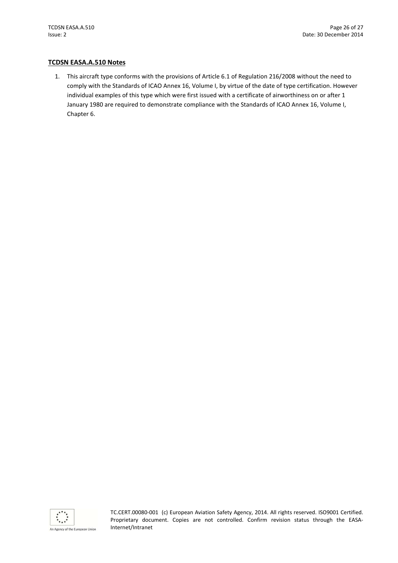### **TCDSN EASA.A.510 Notes**

1. This aircraft type conforms with the provisions of Article 6.1 of Regulation 216/2008 without the need to comply with the Standards of ICAO Annex 16, Volume I, by virtue of the date of type certification. However individual examples of this type which were first issued with a certificate of airworthiness on or after 1 January 1980 are required to demonstrate compliance with the Standards of ICAO Annex 16, Volume I, Chapter 6.